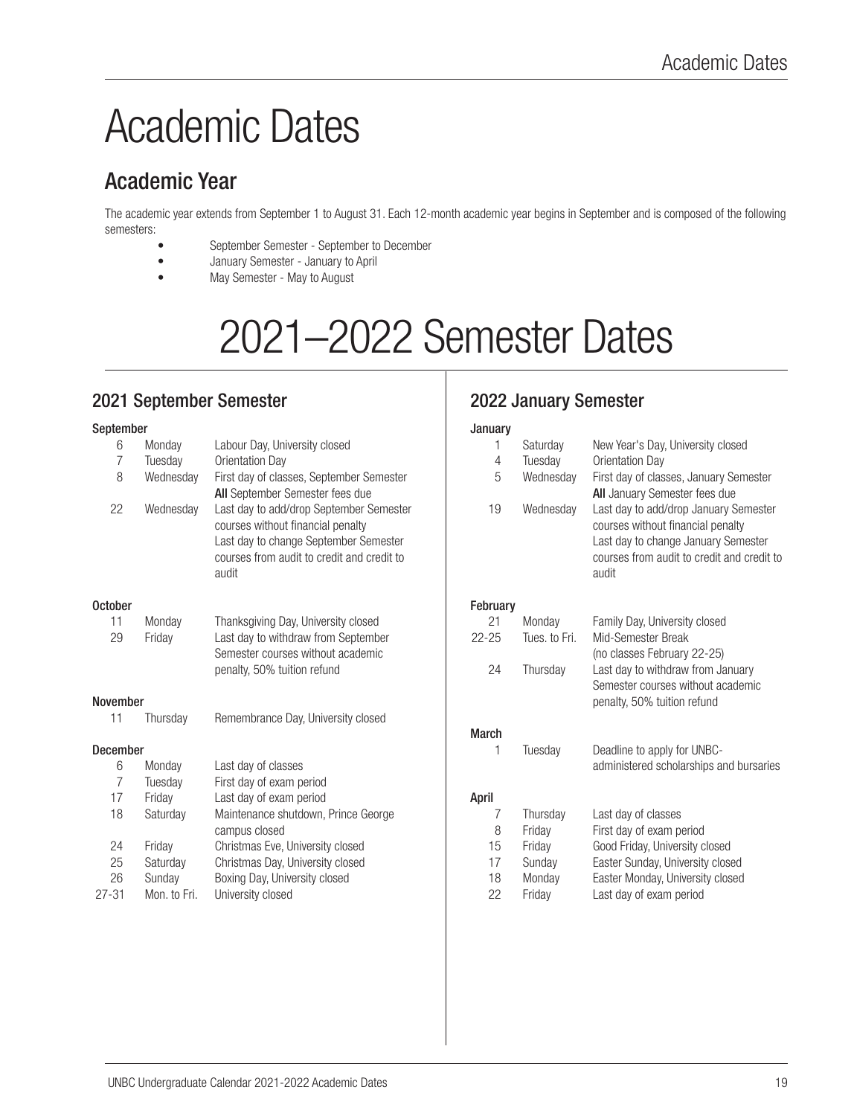# Academic Dates

# Academic Year

The academic year extends from September 1 to August 31. Each 12-month academic year begins in September and is composed of the following semesters:

- September Semester September to December
- January Semester January to April
- May Semester May to August

# 2021–2022 Semester Dates

## 2021 September Semester

#### September

| 6               | Monday       | Labour Day, University closed              | 1            | Saturday      | Ν            |
|-----------------|--------------|--------------------------------------------|--------------|---------------|--------------|
| $\overline{7}$  | Tuesday      | Orientation Day                            | 4            | Tuesday       | С            |
| 8               | Wednesday    | First day of classes, September Semester   | 5            | Wednesday     | F            |
|                 |              | All September Semester fees due            |              |               | A            |
| 22              | Wednesday    | Last day to add/drop September Semester    | 19           | Wednesday     | L            |
|                 |              | courses without financial penalty          |              |               | C            |
|                 |              | Last day to change September Semester      |              |               | L            |
|                 |              | courses from audit to credit and credit to |              |               | $\mathbf{C}$ |
|                 |              | audit                                      |              |               | a            |
| <b>October</b>  |              |                                            | February     |               |              |
| 11              | Monday       | Thanksgiving Day, University closed        | 21           | Monday        | F            |
| 29              | Friday       | Last day to withdraw from September        | $22 - 25$    | Tues, to Fri. | V            |
|                 |              | Semester courses without academic          |              |               |              |
|                 |              | penalty, 50% tuition refund                | 24           | Thursday      | (r           |
|                 |              |                                            |              |               | S            |
| <b>November</b> |              |                                            |              |               | р            |
| 11              | Thursday     | Remembrance Day, University closed         |              |               |              |
|                 |              |                                            | <b>March</b> |               |              |
| <b>December</b> |              |                                            | 1            | Tuesday       | D            |
| 6               | Monday       | Last day of classes                        |              |               | a            |
| $\overline{7}$  | Tuesday      | First day of exam period                   |              |               |              |
| 17              | Friday       | Last day of exam period                    | April        |               |              |
| 18              | Saturday     | Maintenance shutdown, Prince George        | 7            | Thursdav      | L            |
|                 |              | campus closed                              | 8            | Friday        | F            |
| 24              | Friday       | Christmas Eve, University closed           | 15           | Friday        | G            |
| 25              | Saturday     | Christmas Day, University closed           | 17           | Sunday        | E            |
| 26              | Sunday       | Boxing Day, University closed              | 18           | Monday        | E            |
| $27 - 31$       | Mon. to Fri. | University closed                          | 22           | Friday        |              |
|                 |              |                                            |              |               |              |

### 2022 January Semester

| January  |               |                                                                                                                                                                          |
|----------|---------------|--------------------------------------------------------------------------------------------------------------------------------------------------------------------------|
| 1        | Saturday      | New Year's Day, University closed                                                                                                                                        |
| 4        | Tuesday       | Orientation Day                                                                                                                                                          |
| 5        | Wednesday     | First day of classes, January Semester<br>All January Semester fees due                                                                                                  |
| 19       | Wednesday     | Last day to add/drop January Semester<br>courses without financial penalty<br>Last day to change January Semester<br>courses from audit to credit and credit to<br>audit |
| February |               |                                                                                                                                                                          |
| 21       | Mondav        | Family Day, University closed                                                                                                                                            |
| $22-25$  | Tues, to Fri. | Mid-Semester Break<br>(no classes February 22-25)                                                                                                                        |
| 24       | Thursday      | Last day to withdraw from January<br>Semester courses without academic<br>penalty, 50% tuition refund                                                                    |
| March    |               |                                                                                                                                                                          |
| 1        | Tuesday       | Deadline to apply for UNBC-<br>administered scholarships and bursaries                                                                                                   |
| April    |               |                                                                                                                                                                          |
| 7        | Thursday      | Last day of classes                                                                                                                                                      |
| 8        | Friday        | First day of exam period                                                                                                                                                 |
| 15       | Friday        | Good Friday, University closed                                                                                                                                           |
| 17       | Sunday        | Easter Sunday, University closed                                                                                                                                         |
| 18       | Monday        | Easter Monday, University closed                                                                                                                                         |
| 22       | Friday        | Last day of exam period                                                                                                                                                  |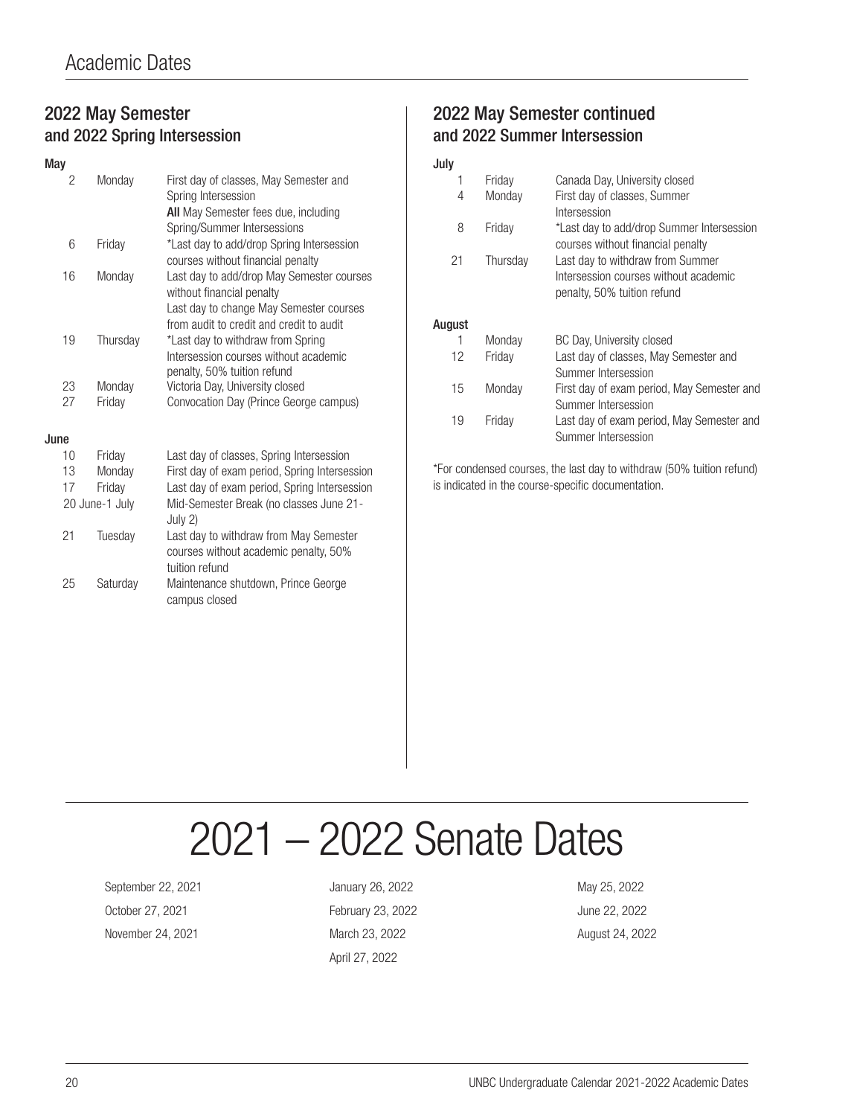#### 2022 May Semester and 2022 Spring Intersession

| May  |                |          |                                                                                                                                                               |
|------|----------------|----------|---------------------------------------------------------------------------------------------------------------------------------------------------------------|
|      | 2              | Monday   | First day of classes, May Semester and<br>Spring Intersession<br>All May Semester fees due, including                                                         |
|      | 6              | Friday   | Spring/Summer Intersessions<br>*Last day to add/drop Spring Intersession<br>courses without financial penalty                                                 |
|      | 16             | Monday   | Last day to add/drop May Semester courses<br>without financial penalty<br>Last day to change May Semester courses<br>from audit to credit and credit to audit |
|      | 19             | Thursday | *Last day to withdraw from Spring<br>Intersession courses without academic<br>penalty, 50% tuition refund                                                     |
|      | 23             | Monday   | Victoria Day, University closed                                                                                                                               |
|      | 27             | Friday   | Convocation Day (Prince George campus)                                                                                                                        |
| June |                |          |                                                                                                                                                               |
|      | 10             | Friday   | Last day of classes, Spring Intersession                                                                                                                      |
|      | 13             | Monday   | First day of exam period, Spring Intersession                                                                                                                 |
|      | 17             | Friday   | Last day of exam period, Spring Intersession                                                                                                                  |
|      | 20 June-1 July |          | Mid-Semester Break (no classes June 21-<br>July 2)                                                                                                            |
|      | 21             | Tuesday  | Last day to withdraw from May Semester<br>courses without academic penalty, 50%<br>tuition refund                                                             |
|      | 25             | Saturday | Maintenance shutdown, Prince George                                                                                                                           |

campus closed

### and 2022 Summer Intersession July

2022 May Semester continued

| 1              | Friday | Canada Day, University closed              |  |
|----------------|--------|--------------------------------------------|--|
| 4<br>Monday    |        | First day of classes, Summer               |  |
|                |        | Intersession                               |  |
| 8<br>Friday    |        | *Last day to add/drop Summer Intersession  |  |
|                |        | courses without financial penalty          |  |
| 21<br>Thursday |        | Last day to withdraw from Summer           |  |
|                |        | Intersession courses without academic      |  |
|                |        | penalty, 50% tuition refund                |  |
|                |        |                                            |  |
| August         |        |                                            |  |
| 1              | Monday | BC Day, University closed                  |  |
| 12             | Friday | Last day of classes, May Semester and      |  |
|                |        | Summer Intersession                        |  |
| 15             | Monday | First day of exam period, May Semester and |  |
|                |        | Summer Intersession                        |  |
| 19             | Fridav | Last day of exam period, May Semester and  |  |
|                |        | Summer Intersession                        |  |

\*For condensed courses, the last day to withdraw (50% tuition refund) is indicated in the course-specific documentation.

# 2021 – 2022 Senate Dates

September 22, 2021 January 26, 2022 January 26, 2022 October 27, 2021 February 23, 2022 June 22, 2022 November 24, 2021 March 23, 2022 August 24, 2022

April 27, 2022